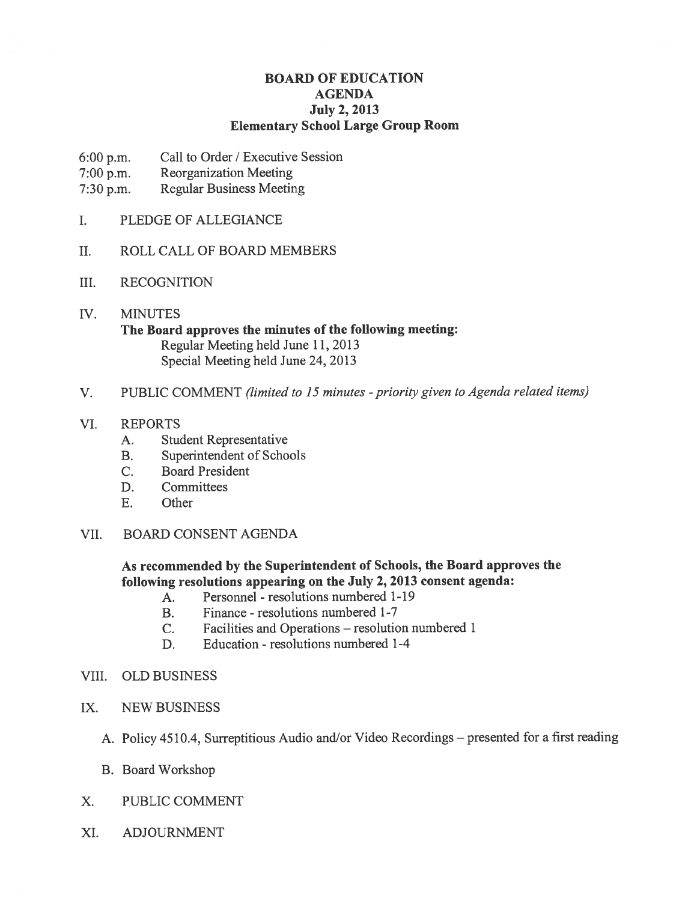# BOARD OF EDUCATION AGENDA July 2, 2013 Elementary School Large Group Room

- 6:00 p.m. Call to Order / Executive Session
- 7:00 p.m. Reorganization Meeting
- 7:30 p.m. Regular Business Meeting
- I. PLEDGE OF ALLEGIANCE
- II. ROLL CALL OF BOARD MEMBERS
- III. RECOGNITION
- IV. MINUTES The Board approves the minutes of the following meeting: Regular Meeting held June 11, 2013 Special Meeting held June 24, 2013
- V. PUBLIC COMMENT (limited to 15 minutes priority given to Agenda related items)
- VI. REPORTS
	- A. Student Representative
	- B. Superintendent of Schools
	- C. Board President
	- D. Committees
	- E. Other
- VII. BOARD CONSENT AGENDA

# As recommended by the Superintendent of Schools, the Board approves the following resolutions appearing on the July 2, 2013 consent agenda:

- A. Personnel resolutions numbered 1-19
- B. Finance resolutions numbered 1-7
- C. Facilities and Operations resolution numbered 1
- D. Education resolutions numbered 1-4
- VIII. OLD BUSINESS
- IX. NEW BUSINESS
	- A. Policy 4510.4, Surreptitious Audio and/or Video Recordings presented for <sup>a</sup> first reading
	- B. Board Workshop
- X. PUBLIC COMMENT
- XI. ADJOURNMENT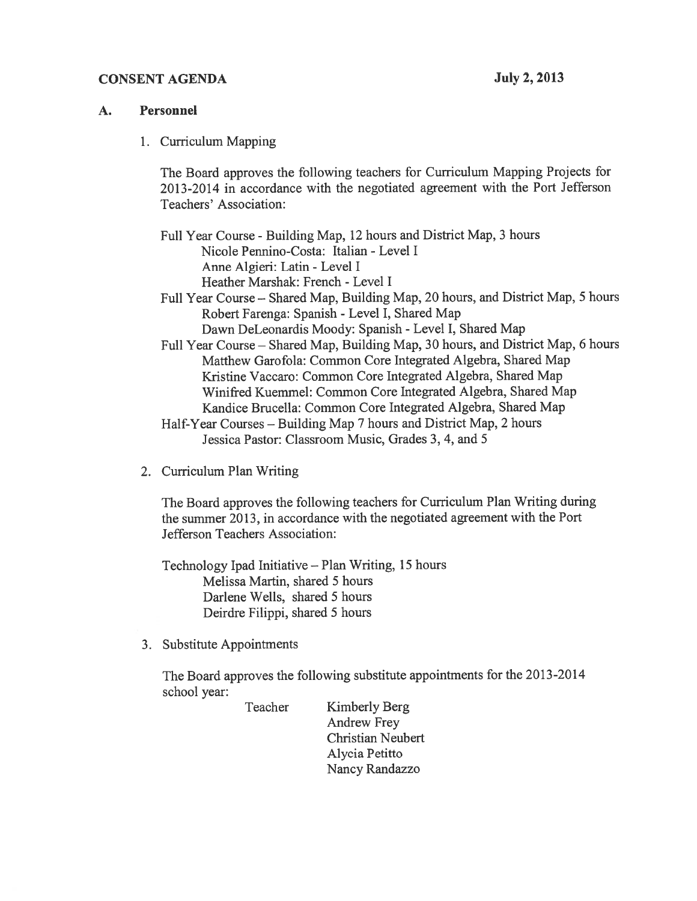## CONSENT AGENDA July 2, 2013

## A. Personnel

1. Curriculum Mapping

The Board approves the following teachers for Curriculum Mapping Projects for 2013-2014 in accordance with the negotiated agreemen<sup>t</sup> with the Port Jefferson Teachers' Association:

Full Year Course - Building Map, 12 hours and District Map, 3 hours Nicole Pennino-Costa: Italian -Level I Anne Algieri: Latin -Level I Heather Marshak: French - Level I Full Year Course — Shared Map, Building Map, 20 hours, and District Map, <sup>5</sup> hours

Robert Farenga: Spanish -Level I, Shared Map Dawn DeLeonardis Moody: Spanish -Level I, Shared Map

Full Year Course — Shared Map, Building Map, 30 hours, and District Map, <sup>6</sup> hours Matthew Garofola: Common Core Integrated Algebra, Shared Map Kristine Vaccaro: Common Core Integrated Algebra, Shared Map Winifred Kuemmel: Common Core Integrated Algebra, Shared Map Kandice Brucella: Common Core Integrated Algebra, Shared Map

Half-Year Courses — Building Map <sup>7</sup> hours and District Map, 2 hours Jessica Pastor: Classroom Music, Grades 3, 4, and 5

2. Curriculum Plan Writing

The Board approves the following teachers for Curriculum Plan Writing during the summer 2013, in accordance with the negotiated agreemen<sup>t</sup> with the Port Jefferson Teachers Association:

Technology Ipad Initiative — Plan Writing, 15 hours Melissa Martin, shared 5 hours Darlene Wells, shared 5 hours Deirdre Filippi, shared 5 hours

3. Substitute Appointments

The Board approves the following substitute appointments for the 2013-2014 school year:

> Teacher Kimberly Berg Andrew Frey Christian Neubert Alycia Petitto Nancy Randazzo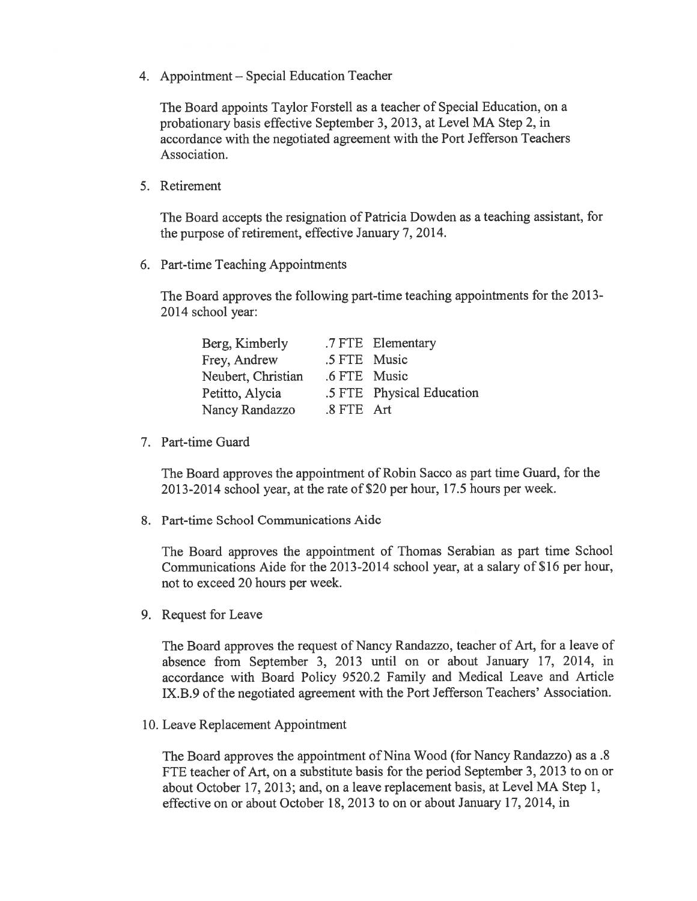4. Appointment — Special Education Teacher

The Board appoints Taylor Forstell as <sup>a</sup> teacher of Special Education, on <sup>a</sup> probationary basis effective September 3,2013, at Level MA Step 2, in accordance with the negotiated agreemen<sup>t</sup> with the Port Jefferson Teachers Association.

5. Retirement

The Board accepts the resignation of Patricia Dowden as <sup>a</sup> teaching assistant, for the purpose of retirement, effective January 7, 2014.

6. Part-time Teaching Appointments

The Board approves the following part-time teaching appointments for the 2013- 2014 school year:

|              | .7 FTE Elementary         |
|--------------|---------------------------|
| .5 FTE Music |                           |
| .6 FTE Music |                           |
|              | .5 FTE Physical Education |
| .8 FTE Art   |                           |
|              |                           |

7. Part-time Guard

The Board approves the appointment of Robin Sacco as par<sup>t</sup> time Guard, for the 2013-2014 school year, at the rate of S20 per hour, 17.5 hours per week.

8. Part-time School Communications Aide

The Board approves the appointment of Thomas Serabian as par<sup>t</sup> time School Communications Aide for the 2013-2014 school year, at <sup>a</sup> salary of \$16 per hour, not to exceed 20 hours per week.

9. Request for Leave

The Board approves the reques<sup>t</sup> of Nancy Randazzo, teacher of Art, for <sup>a</sup> leave of absence from September 3, 2013 until on or about January 17, 2014, in accordance with Board Policy 9520.2 Family and Medical Leave and Article IX.B.9 of the negotiated agreemen<sup>t</sup> with the Port Jefferson Teachers' Association.

10. Leave Replacement Appointment

The Board approves the appointment of Nina Wood (for Nancy Randazzo) as <sup>a</sup> .8 FTE teacher of Art, on <sup>a</sup> substitute basis for the period September 3, 2013 to on or about October 17, 2013; and, on <sup>a</sup> leave replacement basis, at Level MA Step 1, effective on or about October 18, 2013 to on or about January 17, 2014, in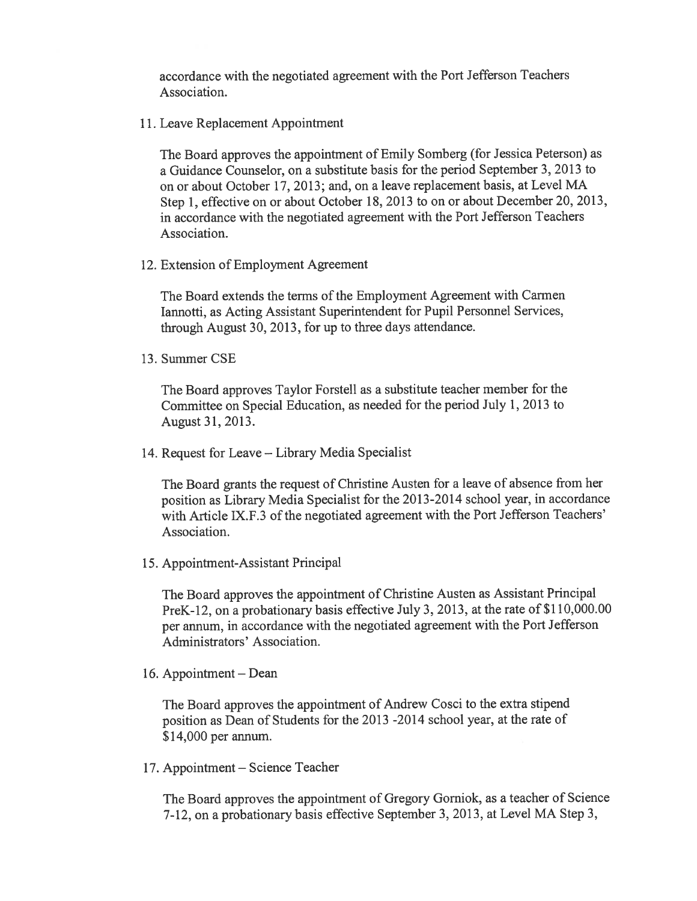accordance with the negotiated agreemen<sup>t</sup> with the Port Jefferson Teachers Association.

11. Leave Replacement Appointment

The Board approves the appointment of Emily Somberg (for Jessica Peterson) as <sup>a</sup> Guidance Counselor, on <sup>a</sup> substitute basis for the period September 3, 2013 to on or about October 17, 2013; and, on <sup>a</sup> leave replacement basis, at Level MA Step 1, effective on or about October 18, <sup>2013</sup> to on or about December 20, 2013, in accordance with the negotiated agreemen<sup>t</sup> with the Port Jefferson Teachers Association.

12. Extension of Employment Agreement

The Board extends the terms of the Employment Agreement with Carmen lannotti, as Acting Assistant Superintendent for Pupil Personnel Services, through August 30, 2013, for up to three days attendance.

13. Summer CSE

The Board approves Taylor Forstell as <sup>a</sup> substitute teacher member for the Committee on Special Education, as needed for the period July 1, 2013 to August 31, 2013.

14. Request for Leave — Library Media Specialist

The Board grants the reques<sup>t</sup> of Christine Austen for <sup>a</sup> leave of absence from her position as Library Media Specialist for the 2013-2014 school year, in accordance with Article IX.F.3 of the negotiated agreemen<sup>t</sup> with the Port Jefferson Teachers' Association.

15. Appointment-Assistant Principal

The Board approves the appointment of Christine Austen as Assistant Principal PreK-12, on a probationary basis effective July 3, 2013, at the rate of \$110,000.00 per annum, in accordance with the negotiated agreemen<sup>t</sup> with the Port Jefferson Administrators' Association.

16. Appointment — Dean

The Board approves the appointment of Andrew Cosci to the extra stipend position as Dean of Students for the <sup>2013</sup> -2014 school year, at the rate of \$14,000 per annum.

17. Appointment — Science Teacher

The Board approves the appointment of Gregory Gorniok, as <sup>a</sup> teacher of Science 7-12, on <sup>a</sup> probationary basis effective September 3,2013, at Level MA Step 3,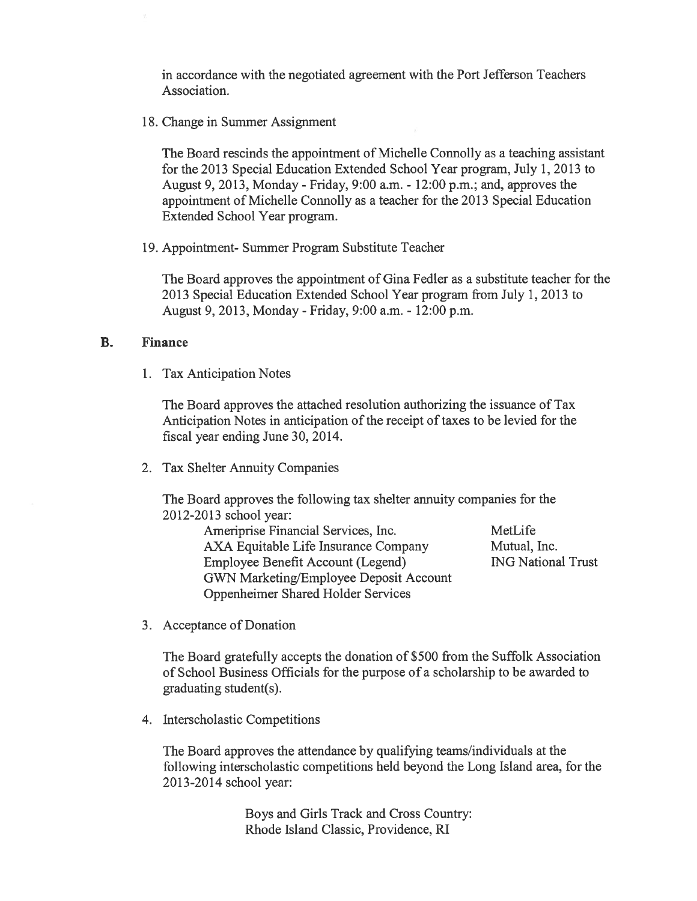in accordance with the negotiated agreemen<sup>t</sup> with the Port Jefferson Teachers Association.

18. Change in Summer Assignment

The Board rescinds the appointment of Michelle Connolly as <sup>a</sup> teaching assistant for the 2013 Special Education Extended School Year program, July 1, 2013 to August 9, 2013, Monday - Friday, 9:00 a.m. - 12:00 p.m.; and, approves the appointment of Michelle Connolly as <sup>a</sup> teacher for the 2013 Special Education Extended School Year program.

19. Appointment- Summer Program Substitute Teacher

The Board approves the appointment of Gina Fedler as <sup>a</sup> substitute teacher for the 2013 Special Education Extended School Year program from July 1, 2013 to August 9, 2013, Monday - Friday, 9:00 a.m. - 12:00 p.m.

## B. Finance

1. Tax Anticipation Notes

The Board approves the attached resolution authorizing the issuance of Tax Anticipation Notes in anticipation of the receipt of taxes to be levied for the fiscal year ending June 30, 2014.

2. Tax Shelter Annuity Companies

The Board approves the following tax shelter annuity companies for the 2012-2013 school year:

> Ameriprise Financial Services, Inc. MetLife AXA Equitable Life Insurance Company Mutual, Inc. Employee Benefit Account (Legend) ING National Trust GWN Marketing/Employee Deposit Account Oppenheimer Shared Holder Services

3. Acceptance of Donation

The Board gratefully accepts the donation of \$500 from the Suffolk Association of School Business Officials for the purpose of <sup>a</sup> scholarship to be awarded to graduating student(s).

4. Interscholastic Competitions

The Board approves the attendance by qualifying teams/individuals at the following interscholastic competitions held beyond the Long Island area, for the 2013-2014 school year:

> Boys and Girls Track and Cross Country: Rhode Island Classic, Providence, RI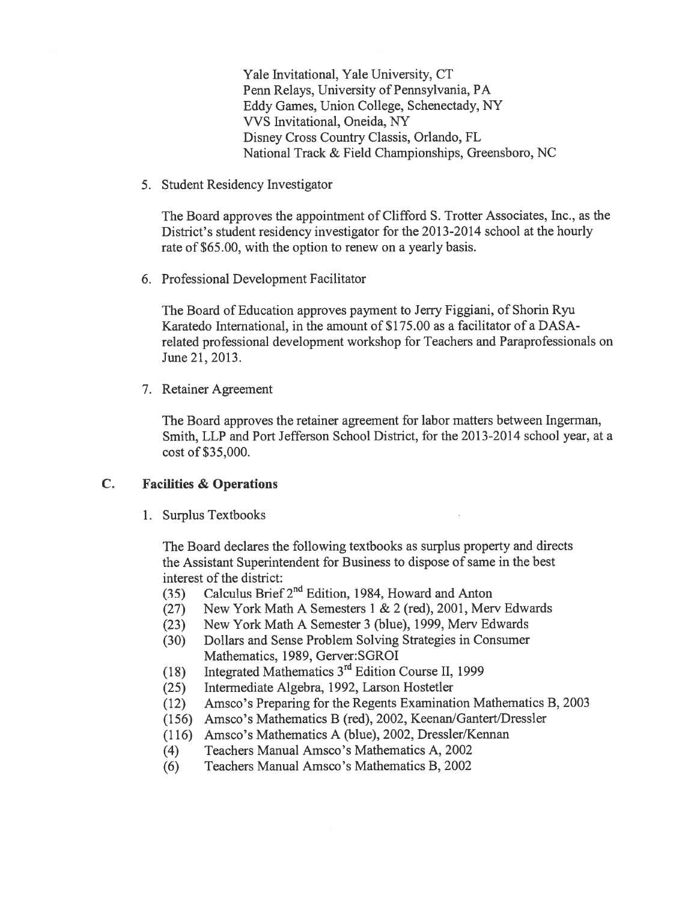Yale Invitational, Yale University, CT Penn Relays, University of Pennsylvania, PA Eddy Games, Union College, Schenectady, NY VVS Invitational, Oneida, NY Disney Cross Country Classis, Orlando, FL National Track & Field Championships, Greensboro, NC

5. Student Residency Investigator

The Board approves the appointment of Clifford S. Trotter Associates, Inc., as the District's student residency investigator for the 2013-2014 school at the hourly rate of \$65.00, with the option to renew on <sup>a</sup> yearly basis.

6. Professional Development Facilitator

The Board of Education approves paymen<sup>t</sup> to Jerry Figgiani, of Shorin Ryu Karatedo International, in the amount of \$175.00 as <sup>a</sup> facilitator of <sup>a</sup> DASA related professional development workshop for Teachers and Paraprofessionals on June 21, 2013.

7. Retainer Agreement

The Board approves the retainer agreemen<sup>t</sup> for labor matters between Ingerman, Smith, LLP and Port Jefferson School District, for the 2013-2014 school year, at a cost of \$35,000.

# C. Facilities & Operations

1. Surplus Textbooks

The Board declares the following textbooks as surplus property and directs the Assistant Superintendent for Business to dispose of same in the best interest of the district:

- (35) Calculus Brief  $2<sup>nd</sup>$  Edition, 1984, Howard and Anton
- (27) New York Math A Semesters 1 & 2 (red), 2001, Merv Edwards
- (23) New York Math A Semester 3 (blue), 1999, Merv Edwards
- (30) Dollars and Sense Problem Solving Strategies in Consumer Mathematics, 1989, Gerver:SGROI
- (18) Integrated Mathematics  $3<sup>rd</sup>$  Edition Course II, 1999
- (25) Intermediate Algebra, 1992, Larson Hostetler
- (12) Amsco's Preparing for the Regents Examination Mathematics B, 2003
- (156) Amsco's Mathematics B (red), 2002, Keenan/Gantert/Dressler
- (116) Amsco's Mathematics A (blue), 2002, Dressler/Kennan
- (4) Teachers Manual Amsco's Mathematics A, 2002
- (6) Teachers Manual Amsco's Mathematics B, 2002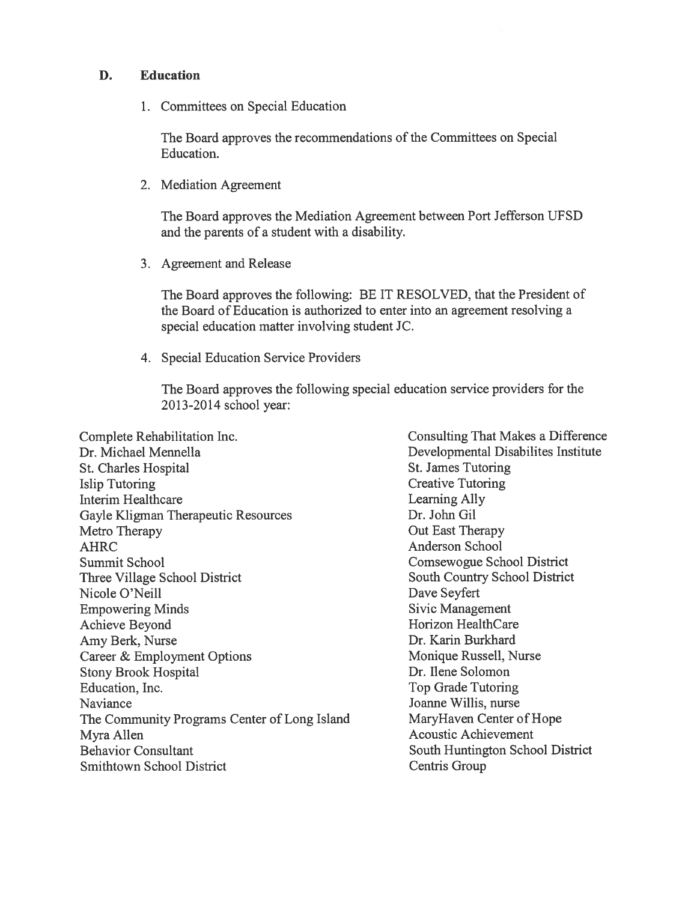# D. Education

1. Committees on Special Education

The Board approves the recommendations of the Committees on Special Education.

2. Mediation Agreement

The Board approves the Mediation Agreement between Port Jefferson UFSD and the parents of <sup>a</sup> student with <sup>a</sup> disability.

3. Agreement and Release

The Board approves the following: BE IT RESOLVED, that the President of the Board of Education is authorized to enter into an agreemen<sup>t</sup> resolving <sup>a</sup> special education matter involving student JC.

4. Special Education Service Providers

The Board approves the following special education service providers for the 2013-2014 school year:

Complete Rehabilitation Inc. The Consulting That Makes a Difference Dr. Michael Mennella **Disabilites Institute** Developmental Disabilites Institute St. Charles Hospital St. James Tutoring Islip Tutoring Creative Tutoring Interim Healthcare Learning Ally Gayle Kligman Therapeutic Resources Dr. John Gil Metro Therapy **Out East Therapy Out East Therapy** AHRC AHRC Anderson School Summit School Comsewogue School District Three Village School District South Country School District Nicole O'Neill Dave Seyfert Empowering Minds Sivic Management Achieve Beyond Horizon HealthCare Amy Berk, Nurse Dr. Karin Burkhard Career & Employment Options Monique Russell, Nurse Stony Brook Hospital Dr. Ilene Solomon Education, Inc. **Exercise Education**, Inc. **The Education** Security **The Education** Security **The Security Contract Security 1** Naviance Joanne Willis, nurse The Community Programs Center of Long Island MaryHaven Center of Hope Myra Allen Acoustic Achievement Behavior Consultant South Huntington School District Smithtown School District Centris Group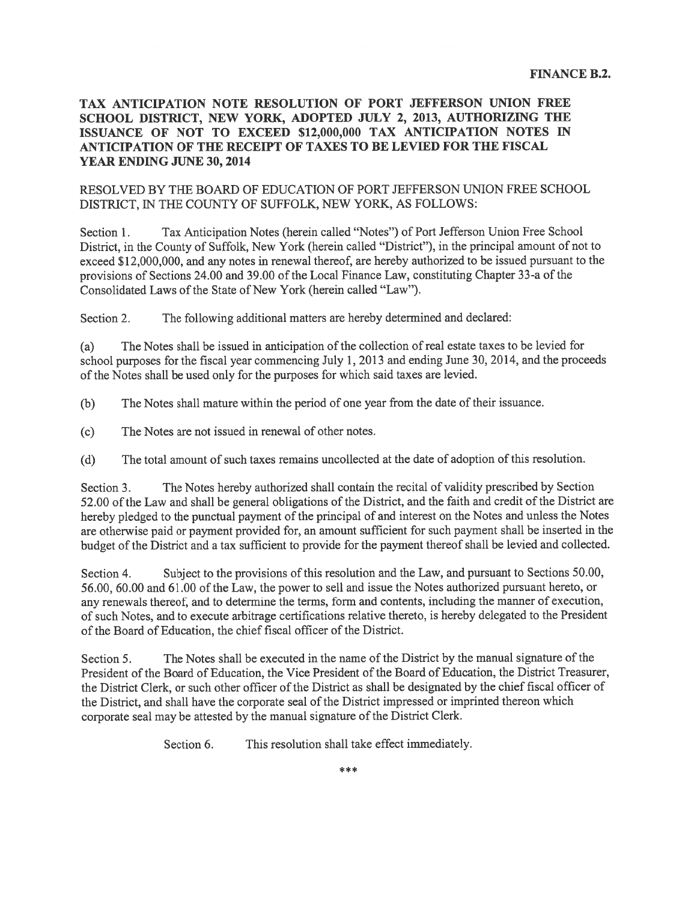#### TAX ANTICIPATION NOTE RESOLUTION OF PORT JEFFERSON UNION FREE SCHOOL DISTRICT, NEW YORK, ADOPTED JULY 2, 2013, AUTHORIZING THE ISSUANCE OF NOT TO EXCEED \$12,000,000 TAX ANTICIPATION NOTES IN ANTICIPATION OF THE RECEIPT OF TAXES TO BE LEVIED FOR THE FISCAL YEAR ENDING JUNE 30, 2014

#### RESOLVED BY THE BOARD OF EDUCATION OF PORT JEFFERSON UNION FREE SCHOOL DISTRICT, IN THE COUNTY OF SUFFOLK, NEW YORK, AS FOLLOWS:

Section 1. Tax Anticipation Notes (herein called "Notes") of Port Jefferson Union Free School District, in the County of Suffolk, New York (herein called "District"), in the principal amount of not to exceed \$12,000,000, and any notes in renewal thereof, are hereby authorized to be issued pursuan<sup>t</sup> to the provisions of Sections 24.00 and 39.00 of the Local Finance Law, constituting Chapter 33-a of the Consolidated Laws of the State of New York (herein called "Law").

Section 2. The following additional matters are hereby determined and declared:

(a) The Notes shall be issued in anticipation of the collection of real estate taxes to be levied for school purposes for the fiscal year commencing July 1, <sup>2013</sup> and ending June 30, 2014, and the proceeds of the Notes shall be used only for the purposes for which said taxes are levied.

(b) The Notes shall mature within the period of one year from the date of their issuance.

(c) The Notes are not issued in renewal of other notes.

(d) The total amount of such taxes remains uncollected at the date of adoption of this resolution.

Section 3. The Notes hereby authorized shall contain the recital of validity prescribed by Section 52.00 of the Law and shall be general obligations of the District, and the faith and credit of the District are hereby <sup>p</sup>ledged to the punctual paymen<sup>t</sup> of the principal of and interest on the Notes and unless the Notes are otherwise paid or paymen<sup>t</sup> provided for, an amount sufficient for such paymen<sup>t</sup> shall be inserted in the budget of the District and <sup>a</sup> tax sufficient to provide for the paymen<sup>t</sup> thereof shall be levied and collected.

Section 4. Subject to the provisions of this resolution and the Law, and pursuant to Sections 50.00, 56.00, 60.00 and 61.00 of the Law, the power to sell and issue the Notes authorized pursuan<sup>t</sup> hereto, or any renewals thereof, and to determine the terms, form and contents, including the manner of execution, of such Notes, and to execute arbitrage certifications relative thereto, is hereby delegated to the President of the Board of Education, the chief fiscal officer of the District.

Section 5. The Notes shall be executed in the name of the District by the manual signature of the President of the Board of Education, the Vice President of the Board of Education, the District Treasurer, the District Clerk, or such other officer of the District as shall be designated by the chief fiscal officer of the District, and shall have the corporate seal of the District impressed or imprinted thereon which corporate seal may be attested by the manual signature of the District Clerk.

Section 6. This resolution shall take effect immediately.

sk sk sk